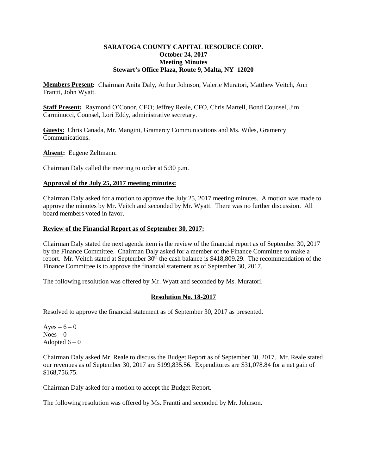### **SARATOGA COUNTY CAPITAL RESOURCE CORP. October 24, 2017 Meeting Minutes Stewart's Office Plaza, Route 9, Malta, NY 12020**

**Members Present:** Chairman Anita Daly, Arthur Johnson, Valerie Muratori, Matthew Veitch, Ann Frantti, John Wyatt.

**Staff Present:** Raymond O'Conor, CEO; Jeffrey Reale, CFO, Chris Martell, Bond Counsel, Jim Carminucci, Counsel, Lori Eddy, administrative secretary.

**Guests:** Chris Canada, Mr. Mangini, Gramercy Communications and Ms. Wiles, Gramercy Communications.

**Absent:** Eugene Zeltmann.

Chairman Daly called the meeting to order at 5:30 p.m.

#### **Approval of the July 25, 2017 meeting minutes:**

Chairman Daly asked for a motion to approve the July 25, 2017 meeting minutes. A motion was made to approve the minutes by Mr. Veitch and seconded by Mr. Wyatt. There was no further discussion. All board members voted in favor.

#### **Review of the Financial Report as of September 30, 2017:**

Chairman Daly stated the next agenda item is the review of the financial report as of September 30, 2017 by the Finance Committee. Chairman Daly asked for a member of the Finance Committee to make a report. Mr. Veitch stated at September 30<sup>th</sup> the cash balance is \$418,809.29. The recommendation of the Finance Committee is to approve the financial statement as of September 30, 2017.

The following resolution was offered by Mr. Wyatt and seconded by Ms. Muratori.

# **Resolution No. 18-2017**

Resolved to approve the financial statement as of September 30, 2017 as presented.

Ayes –  $6 - 0$  $Noes - 0$ Adopted  $6 - 0$ 

Chairman Daly asked Mr. Reale to discuss the Budget Report as of September 30, 2017. Mr. Reale stated our revenues as of September 30, 2017 are \$199,835.56. Expenditures are \$31,078.84 for a net gain of \$168,756.75.

Chairman Daly asked for a motion to accept the Budget Report.

The following resolution was offered by Ms. Frantti and seconded by Mr. Johnson.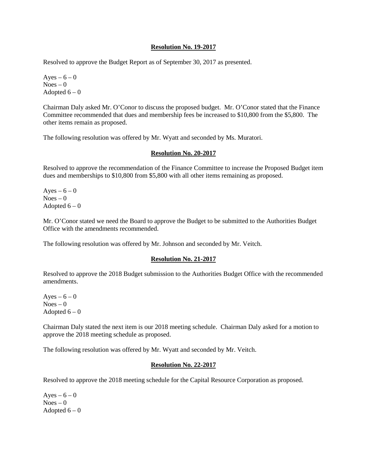#### **Resolution No. 19-2017**

Resolved to approve the Budget Report as of September 30, 2017 as presented.

Ayes –  $6 - 0$  $Noes - 0$ Adopted  $6 - 0$ 

Chairman Daly asked Mr. O'Conor to discuss the proposed budget. Mr. O'Conor stated that the Finance Committee recommended that dues and membership fees be increased to \$10,800 from the \$5,800. The other items remain as proposed.

The following resolution was offered by Mr. Wyatt and seconded by Ms. Muratori.

# **Resolution No. 20-2017**

Resolved to approve the recommendation of the Finance Committee to increase the Proposed Budget item dues and memberships to \$10,800 from \$5,800 with all other items remaining as proposed.

Ayes –  $6-0$  $Noes - 0$ Adopted  $6 - 0$ 

Mr. O'Conor stated we need the Board to approve the Budget to be submitted to the Authorities Budget Office with the amendments recommended.

The following resolution was offered by Mr. Johnson and seconded by Mr. Veitch.

# **Resolution No. 21-2017**

Resolved to approve the 2018 Budget submission to the Authorities Budget Office with the recommended amendments.

Ayes –  $6 - 0$  $Noes - 0$ Adopted  $6 - 0$ 

Chairman Daly stated the next item is our 2018 meeting schedule. Chairman Daly asked for a motion to approve the 2018 meeting schedule as proposed.

The following resolution was offered by Mr. Wyatt and seconded by Mr. Veitch.

# **Resolution No. 22-2017**

Resolved to approve the 2018 meeting schedule for the Capital Resource Corporation as proposed.

Ayes –  $6 - 0$  $Noes - 0$ Adopted  $6 - 0$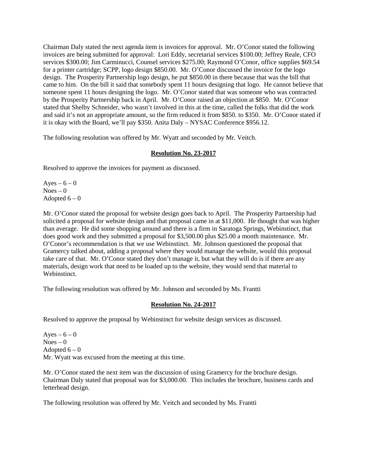Chairman Daly stated the next agenda item is invoices for approval. Mr. O'Conor stated the following invoices are being submitted for approval: Lori Eddy, secretarial services \$100.00; Jeffrey Reale, CFO services \$300.00; Jim Carminucci, Counsel services \$275.00; Raymond O'Conor, office supplies \$69.54 for a printer cartridge; SCPP, logo design \$850.00. Mr. O'Conor discussed the invoice for the logo design. The Prosperity Partnership logo design, he put \$850.00 in there because that was the bill that came to him. On the bill it said that somebody spent 11 hours designing that logo. He cannot believe that someone spent 11 hours designing the logo. Mr. O'Conor stated that was someone who was contracted by the Prosperity Partnership back in April. Mr. O'Conor raised an objection at \$850. Mr. O'Conor stated that Shelby Schneider, who wasn't involved in this at the time, called the folks that did the work and said it's not an appropriate amount, so the firm reduced it from \$850. to \$350. Mr. O'Conor stated if it is okay with the Board, we'll pay \$350. Anita Daly – NYSAC Conference \$956.12.

The following resolution was offered by Mr. Wyatt and seconded by Mr. Veitch.

# **Resolution No. 23-2017**

Resolved to approve the invoices for payment as discussed.

Ayes –  $6 - 0$  $Noes - 0$ Adopted  $6-0$ 

Mr. O'Conor stated the proposal for website design goes back to April. The Prosperity Partnership had solicited a proposal for website design and that proposal came in at \$11,000. He thought that was higher than average. He did some shopping around and there is a firm in Saratoga Springs, Webinstinct, that does good work and they submitted a proposal for \$3,500.00 plus \$25.00 a month maintenance. Mr. O'Conor's recommendation is that we use Webinstinct. Mr. Johnson questioned the proposal that Gramercy talked about, adding a proposal where they would manage the website, would this proposal take care of that. Mr. O'Conor stated they don't manage it, but what they will do is if there are any materials, design work that need to be loaded up to the website, they would send that material to Webinstinct.

The following resolution was offered by Mr. Johnson and seconded by Ms. Frantti

# **Resolution No. 24-2017**

Resolved to approve the proposal by Webinstinct for website design services as discussed.

Ayes –  $6 - 0$  $Noes - 0$ Adopted  $6 - 0$ Mr. Wyatt was excused from the meeting at this time.

Mr. O'Conor stated the next item was the discussion of using Gramercy for the brochure design. Chairman Daly stated that proposal was for \$3,000.00. This includes the brochure, business cards and letterhead design.

The following resolution was offered by Mr. Veitch and seconded by Ms. Frantti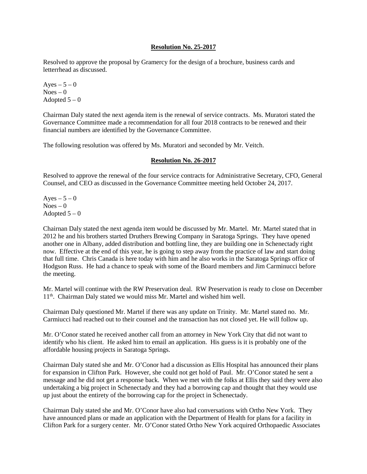#### **Resolution No. 25-2017**

Resolved to approve the proposal by Gramercy for the design of a brochure, business cards and letterrhead as discussed.

Ayes  $-5-0$  $Noes - 0$ Adopted  $5-0$ 

Chairman Daly stated the next agenda item is the renewal of service contracts. Ms. Muratori stated the Governance Committee made a recommendation for all four 2018 contracts to be renewed and their financial numbers are identified by the Governance Committee.

The following resolution was offered by Ms. Muratori and seconded by Mr. Veitch.

#### **Resolution No. 26-2017**

Resolved to approve the renewal of the four service contracts for Administrative Secretary, CFO, General Counsel, and CEO as discussed in the Governance Committee meeting held October 24, 2017.

Ayes  $-5-0$  $Noes - 0$ Adopted  $5-0$ 

Chairnan Daly stated the next agenda item would be discussed by Mr. Martel. Mr. Martel stated that in 2012 he and his brothers started Druthers Brewing Company in Saratoga Springs. They have opened another one in Albany, added distribution and bottling line, they are building one in Schenectady right now. Effective at the end of this year, he is going to step away from the practice of law and start doing that full time. Chris Canada is here today with him and he also works in the Saratoga Springs office of Hodgson Russ. He had a chance to speak with some of the Board members and Jim Carminucci before the meeting.

Mr. Martel will continue with the RW Preservation deal. RW Preservation is ready to close on December 11<sup>th</sup>. Chairman Daly stated we would miss Mr. Martel and wished him well.

Chairman Daly questioned Mr. Martel if there was any update on Trinity. Mr. Martel stated no. Mr. Carmiucci had reached out to their counsel and the transaction has not closed yet. He will follow up.

Mr. O'Conor stated he received another call from an attorney in New York City that did not want to identify who his client. He asked him to email an application. His guess is it is probably one of the affordable housing projects in Saratoga Springs.

Chairman Daly stated she and Mr. O'Conor had a discussion as Ellis Hospital has announced their plans for expansion in Clifton Park. However, she could not get hold of Paul. Mr. O'Conor stated he sent a message and he did not get a response back. When we met with the folks at Ellis they said they were also undertaking a big project in Schenectady and they had a borrowing cap and thought that they would use up just about the entirety of the borrowing cap for the project in Schenectady.

Chairman Daly stated she and Mr. O'Conor have also had conversations with Ortho New York. They have announced plans or made an application with the Department of Health for plans for a facility in Clifton Park for a surgery center. Mr. O'Conor stated Ortho New York acquired Orthopaedic Associates